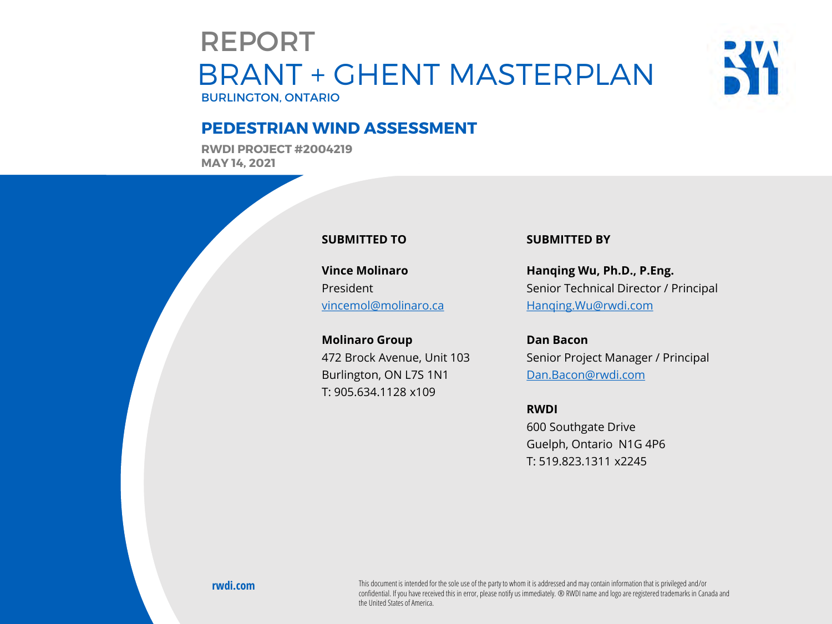### BRANT + GHENT MASTERPLAN BURLINGTON, ONTARIO REPORT



### **PEDESTRIAN WIND ASSESSMENT**

**RWDI PROJECT #2004219 MAY 14, 2021**



**Vince Molinaro** President [vincemol@molinaro.ca](mailto:vincemol@molinaro.ca)

**Molinaro Group** 472 Brock Avenue, Unit 103 Burlington, ON L7S 1N1 T: 905.634.1128 x109

### **SUBMITTED BY**

**Hanqing Wu, Ph.D., P.Eng.** Senior Technical Director / Principal [Hanqing.Wu@rwdi.com](mailto:Hanqing.wu@rwdi.com)

**Dan Bacon** Senior Project Manager / Principal [Dan.Bacon@rwdi.com](mailto:Dan.Bacon@rwdi.com)

### **RWDI**

600 Southgate Drive Guelph, Ontario N1G 4P6 T: 519.823.1311 x2245

**RWDI Project #2004219**

confidential. If you have received this in error, please notify us immediately. ® RWDI name and logo are registered trademarks in Canada and<br>the United States of America **rwdi.com** This document is intended for the sole use of the party to whom it is addressed and may contain information that is privileged and/or the United States of America.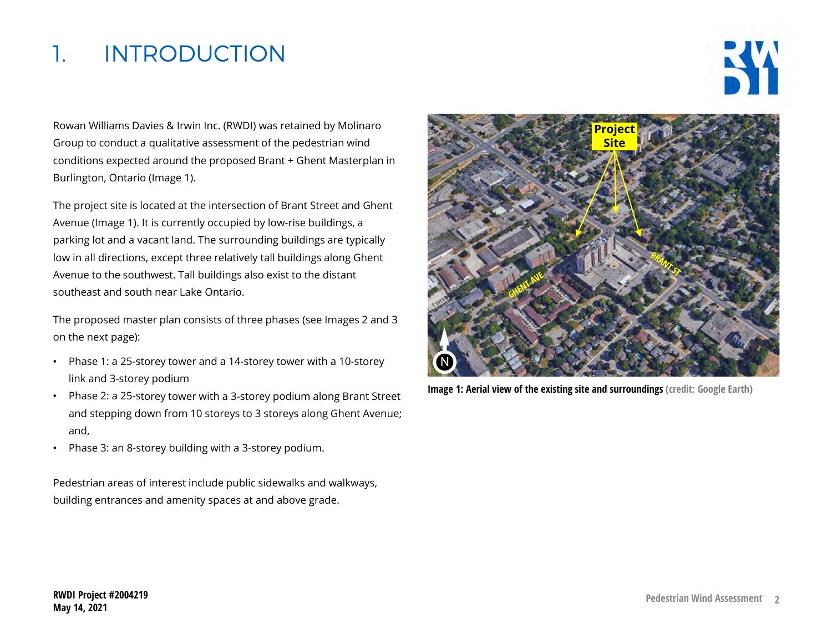## 1. INTRODUCTION



Rowan Williams Davies & Irwin Inc. (RWDI) was retained by Molinaro Group to conduct a qualitative assessment of the pedestrian wind conditions expected around the proposed Brant + Ghent Masterplan in Burlington, Ontario (Image 1).

The project site is located at the intersection of Brant Street and Ghent Avenue (Image 1). It is currently occupied by low-rise buildings, a parking lot and a vacant land. The surrounding buildings are typically low in all directions, except three relatively tall buildings along Ghent Avenue to the southwest. Tall buildings also exist to the distant southeast and south near Lake Ontario.

The proposed master plan consists of three phases (see Images 2 and 3 on the next page):

- Phase 1: a 25-storey tower and a 14-storey tower with a 10-storey link and 3-storey podium
- Phase 2: a 25-storey tower with a 3-storey podium along Brant Street and stepping down from 10 storeys to 3 storeys along Ghent Avenue; and,
- Phase 3: an 8-storey building with a 3-storey podium.

Pedestrian areas of interest include public sidewalks and walkways, building entrances and amenity spaces at and above grade.



**Image 1: Aerial view of the existing site and surroundings (credit: Google Earth)**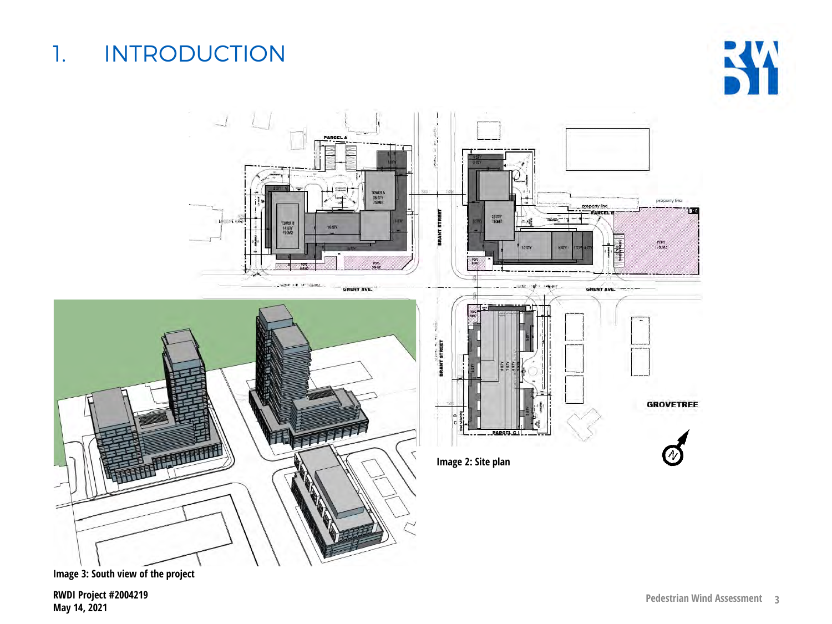# 1. INTRODUCTION





**Image 3: South view of the project**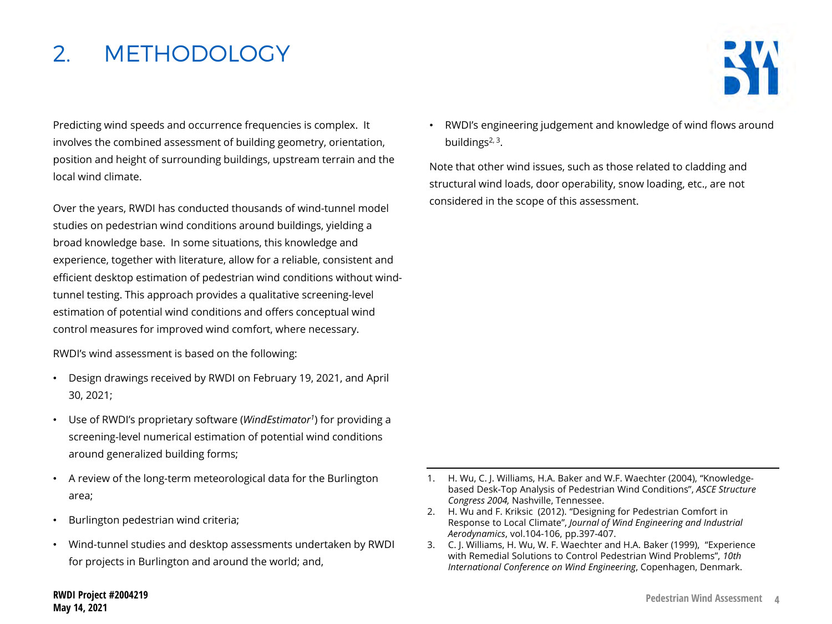## 2. METHODOLOGY



. position and height of surrounding buildings, upstream terrain and the Predicting wind speeds and occurrence frequencies is complex. It involves the combined assessment of building geometry, orientation, local wind climate.

Over the years, RWDI has conducted thousands of wind-tunnel model studies on pedestrian wind conditions around buildings, yielding a broad knowledge base. In some situations, this knowledge and experience, together with literature, allow for a reliable, consistent and efficient desktop estimation of pedestrian wind conditions without windtunnel testing. This approach provides a qualitative screening-level estimation of potential wind conditions and offers conceptual wind control measures for improved wind comfort, where necessary.

RWDI's wind assessment is based on the following:

- Design drawings received by RWDI on February 19, 2021, and April 30, 2021;
- Use of RWDI's proprietary software (*WindEstimator1*) for providing a screening-level numerical estimation of potential wind conditions around generalized building forms;
- A review of the long-term meteorological data for the Burlington area;
- Burlington pedestrian wind criteria;
- Wind-tunnel studies and desktop assessments undertaken by RWDI for projects in Burlington and around the world; and,

• RWDI's engineering judgement and knowledge of wind flows around buildings $2, 3$ .

Note that other wind issues, such as those related to cladding and structural wind loads, door operability, snow loading, etc., are not considered in the scope of this assessment.

- 1. H. Wu, C. J. Williams, H.A. Baker and W.F. Waechter (2004), "Knowledgebased Desk-Top Analysis of Pedestrian Wind Conditions", *ASCE Structure Congress 2004,* Nashville, Tennessee.
- 2. H. Wu and F. Kriksic (2012). "Designing for Pedestrian Comfort in Response to Local Climate", *Journal of Wind Engineering and Industrial Aerodynamics*, vol.104-106, pp.397-407.
- 3. C. J. Williams, H. Wu, W. F. Waechter and H.A. Baker (1999), "Experience with Remedial Solutions to Control Pedestrian Wind Problems", *10th International Conference on Wind Engineering*, Copenhagen, Denmark.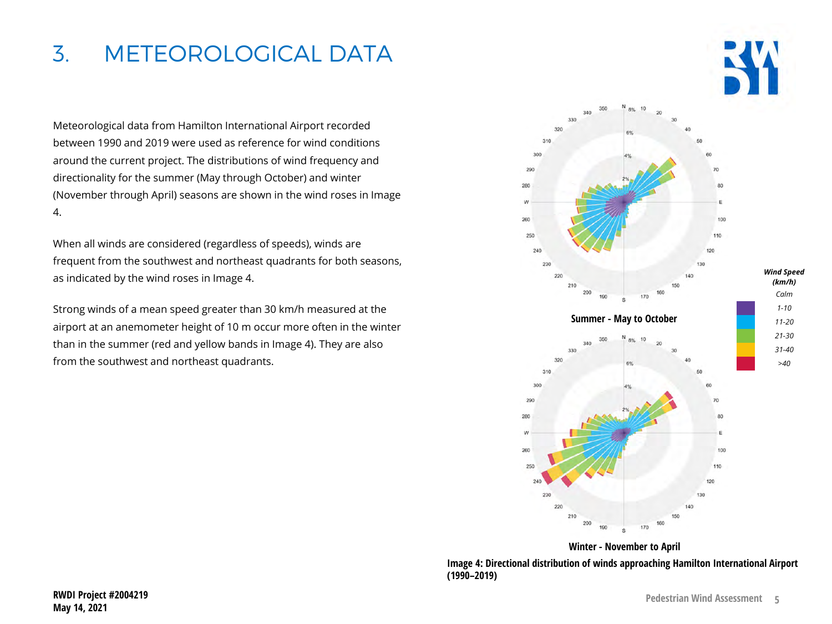## 3. METEOROLOGICAL DATA

Meteorological data from Hamilton International Airport recorded between 1990 and 2019 were used as reference for wind conditions around the current project. The distributions of wind frequency and directionality for the summer (May through October) and winter (November through April) seasons are shown in the wind roses in Image 4.

When all winds are considered (regardless of speeds), winds are frequent from the southwest and northeast quadrants for both seasons, as indicated by the wind roses in Image 4.

Strong winds of a mean speed greater than 30 km/h measured at the airport at an anemometer height of 10 m occur more often in the winter than in the summer (red and yellow bands in Image 4). They are also from the southwest and northeast quadrants.



**Image 4: Directional distribution of winds approaching Hamilton International Airport (1990–2019) Winter - November to April**

250

 $22$ 

 $220$ 

240

120

130

 $140$ 150 160 170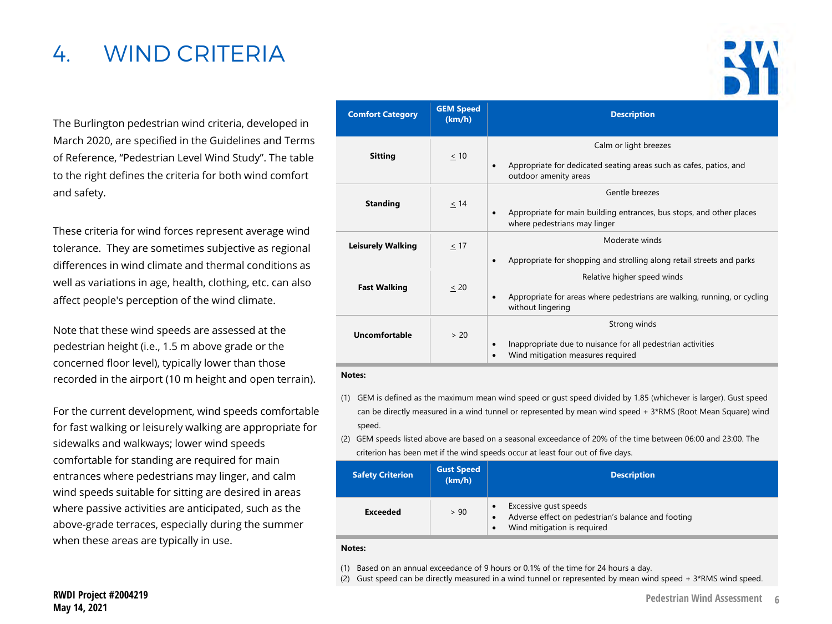## 4. WIND CRITERIA

The Burlington pedestrian wind criteria, developed in March 2020, are specified in the Guidelines and Terms of Reference, "Pedestrian Level Wind Study". The table to the right defines the criteria for both wind comfort and safety.

These criteria for wind forces represent average wind tolerance. They are sometimes subjective as regional differences in wind climate and thermal conditions as well as variations in age, health, clothing, etc. can also affect people's perception of the wind climate.

Note that these wind speeds are assessed at the pedestrian height (i.e., 1.5 m above grade or the concerned floor level), typically lower than those recorded in the airport (10 m height and open terrain).

For the current development, wind speeds comfortable for fast walking or leisurely walking are appropriate for sidewalks and walkways; lower wind speeds comfortable for standing are required for main entrances where pedestrians may linger, and calm wind speeds suitable for sitting are desired in areas where passive activities are anticipated, such as the above-grade terraces, especially during the summer when these areas are typically in use.

| <b>Comfort Category</b>  | <b>GEM Speed</b><br>(km/h) | <b>Description</b>                                                                                                                        |  |  |
|--------------------------|----------------------------|-------------------------------------------------------------------------------------------------------------------------------------------|--|--|
| <b>Sitting</b>           | $\leq 10$                  | Calm or light breezes<br>Appropriate for dedicated seating areas such as cafes, patios, and<br>$\bullet$<br>outdoor amenity areas         |  |  |
| <b>Standing</b>          | $\leq$ 14                  | Gentle breezes<br>Appropriate for main building entrances, bus stops, and other places<br>$\bullet$<br>where pedestrians may linger       |  |  |
| <b>Leisurely Walking</b> | < 17                       | Moderate winds<br>Appropriate for shopping and strolling along retail streets and parks<br>٠                                              |  |  |
| <b>Fast Walking</b>      | $\leq$ 20                  | Relative higher speed winds<br>Appropriate for areas where pedestrians are walking, running, or cycling<br>$\bullet$<br>without lingering |  |  |
| <b>Uncomfortable</b>     | > 20                       | Strong winds<br>Inappropriate due to nuisance for all pedestrian activities<br>$\bullet$<br>Wind mitigation measures required<br>٠        |  |  |

#### **Notes:**

- (1) GEM is defined as the maximum mean wind speed or gust speed divided by 1.85 (whichever is larger). Gust speed can be directly measured in a wind tunnel or represented by mean wind speed + 3\*RMS (Root Mean Square) wind speed.
- (2) GEM speeds listed above are based on a seasonal exceedance of 20% of the time between 06:00 and 23:00. The criterion has been met if the wind speeds occur at least four out of five days.

| <b>Safety Criterion</b> | <b>Gust Speed</b><br>(km/h) | <b>Description</b>                                                                                                                   |
|-------------------------|-----------------------------|--------------------------------------------------------------------------------------------------------------------------------------|
| <b>Exceeded</b>         | > 90                        | Excessive qust speeds<br>$\bullet$<br>Adverse effect on pedestrian's balance and footing<br>Wind mitigation is required<br>$\bullet$ |

#### **Notes:**

(1) Based on an annual exceedance of 9 hours or 0.1% of the time for 24 hours a day.

(2) Gust speed can be directly measured in a wind tunnel or represented by mean wind speed +  $3*RMS$  wind speed.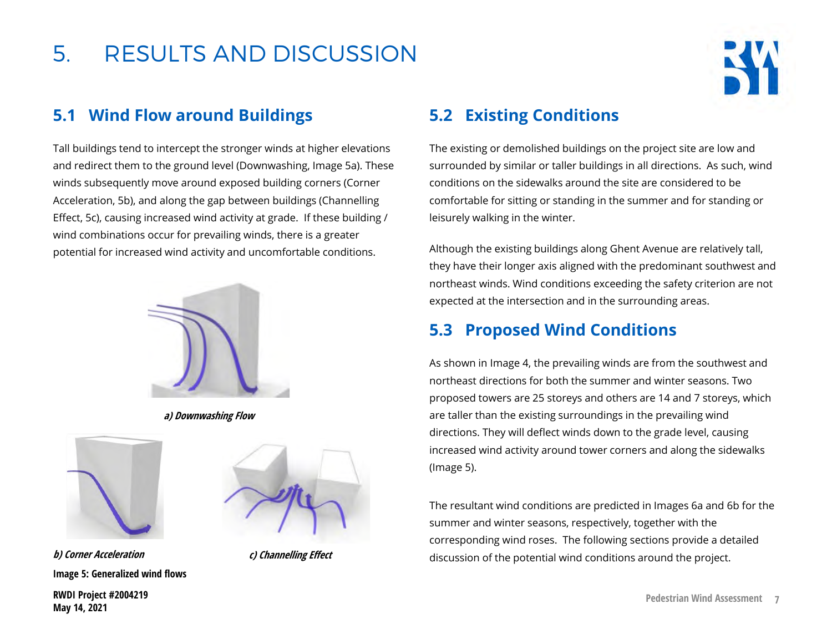

### **5.1 Wind Flow around Buildings**

Tall buildings tend to intercept the stronger winds at higher elevations and redirect them to the ground level (Downwashing, Image 5a). These winds subsequently move around exposed building corners (Corner Acceleration, 5b), and along the gap between buildings (Channelling Effect, 5c), causing increased wind activity at grade. If these building / wind combinations occur for prevailing winds, there is a greater potential for increased wind activity and uncomfortable conditions.



**a) Downwashing Flow**



**Image 5: Generalized wind flows b) Corner Acceleration**



**c) Channelling Effect**

### **5.2 Existing Conditions**

The existing or demolished buildings on the project site are low and surrounded by similar or taller buildings in all directions. As such, wind conditions on the sidewalks around the site are considered to be comfortable for sitting or standing in the summer and for standing or leisurely walking in the winter.

Although the existing buildings along Ghent Avenue are relatively tall, they have their longer axis aligned with the predominant southwest and northeast winds. Wind conditions exceeding the safety criterion are not expected at the intersection and in the surrounding areas.

### **5.3 Proposed Wind Conditions**

As shown in Image 4, the prevailing winds are from the southwest and northeast directions for both the summer and winter seasons. Two proposed towers are 25 storeys and others are 14 and 7 storeys, which are taller than the existing surroundings in the prevailing wind directions. They will deflect winds down to the grade level, causing increased wind activity around tower corners and along the sidewalks (Image 5).

The resultant wind conditions are predicted in Images 6a and 6b for the summer and winter seasons, respectively, together with the corresponding wind roses. The following sections provide a detailed discussion of the potential wind conditions around the project.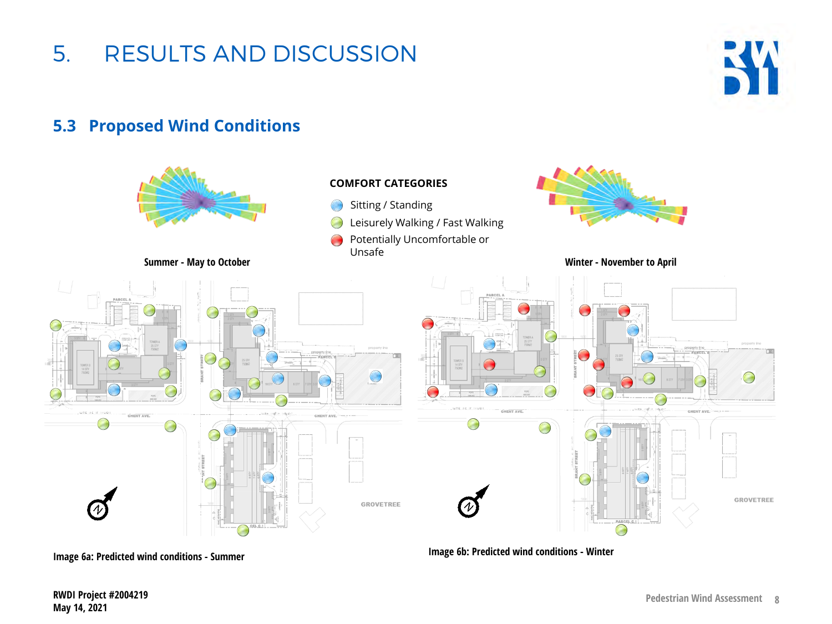

**5.3 Proposed Wind Conditions**

5. RESULTS AND DISCUSSION

**RWDI Project #2004219 May 14, 2021**

**RW**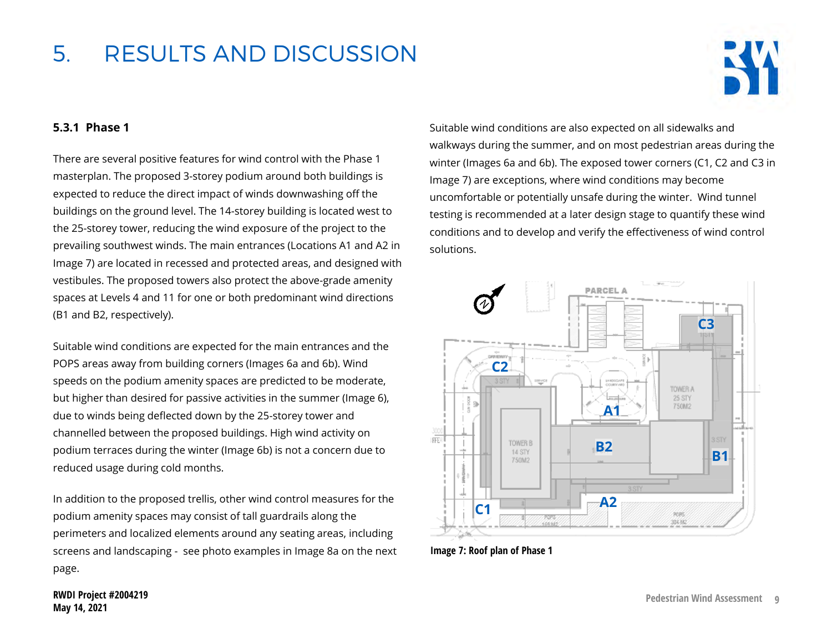

### **5.3.1 Phase 1**

There are several positive features for wind control with the Phase 1 masterplan. The proposed 3-storey podium around both buildings is expected to reduce the direct impact of winds downwashing off the buildings on the ground level. The 14-storey building is located west to the 25-storey tower, reducing the wind exposure of the project to the prevailing southwest winds. The main entrances (Locations A1 and A2 in Image 7) are located in recessed and protected areas, and designed with vestibules. The proposed towers also protect the above-grade amenity spaces at Levels 4 and 11 for one or both predominant wind directions (B1 and B2, respectively).

Suitable wind conditions are expected for the main entrances and the POPS areas away from building corners (Images 6a and 6b). Wind speeds on the podium amenity spaces are predicted to be moderate, but higher than desired for passive activities in the summer (Image 6), due to winds being deflected down by the 25-storey tower and channelled between the proposed buildings. High wind activity on podium terraces during the winter (Image 6b) is not a concern due to reduced usage during cold months.

In addition to the proposed trellis, other wind control measures for the podium amenity spaces may consist of tall guardrails along the perimeters and localized elements around any seating areas, including screens and landscaping - see photo examples in Image 8a on the next page.

Suitable wind conditions are also expected on all sidewalks and walkways during the summer, and on most pedestrian areas during the winter (Images 6a and 6b). The exposed tower corners (C1, C2 and C3 in Image 7) are exceptions, where wind conditions may become uncomfortable or potentially unsafe during the winter. Wind tunnel testing is recommended at a later design stage to quantify these wind conditions and to develop and verify the effectiveness of wind control solutions.



**Image 7: Roof plan of Phase 1**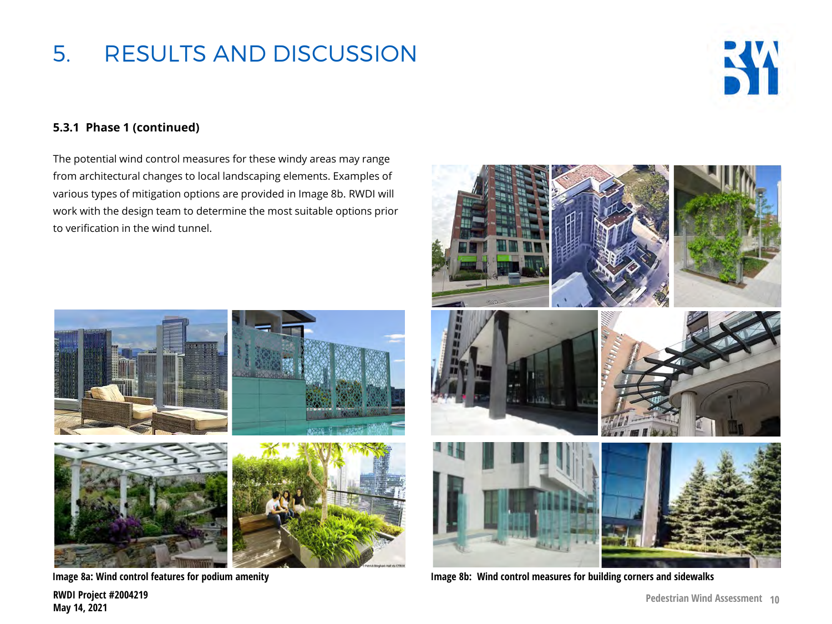

### **5.3.1 Phase 1 (continued)**

The potential wind control measures for these windy areas may range from architectural changes to local landscaping elements. Examples of various types of mitigation options are provided in Image 8b. RWDI will work with the design team to determine the most suitable options prior to verification in the wind tunnel.







**RWDI Project #2004219 May 14, 2021**



**Image 8a: Wind control features for podium amenity Image 8b: Wind control measures for building corners and sidewalks**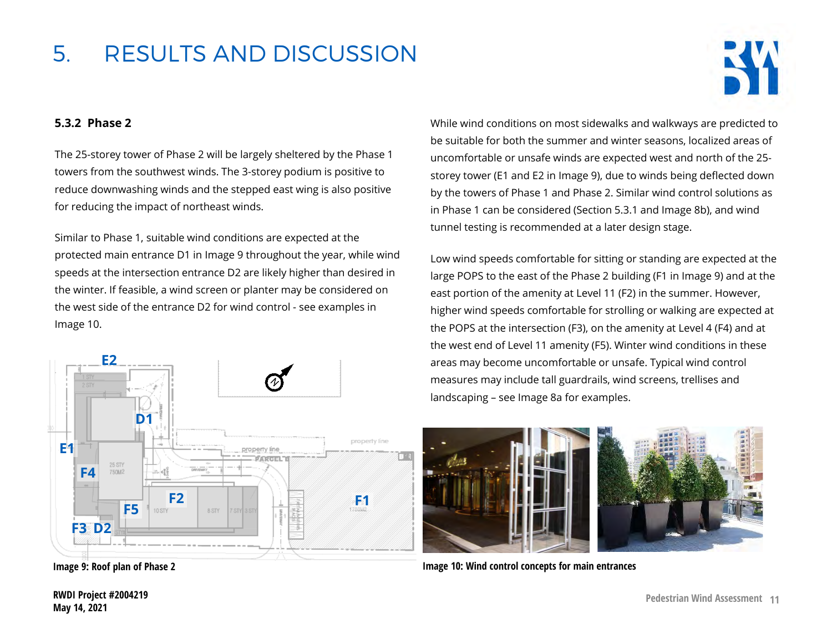

### **5.3.2 Phase 2**

The 25-storey tower of Phase 2 will be largely sheltered by the Phase 1 towers from the southwest winds. The 3-storey podium is positive to reduce downwashing winds and the stepped east wing is also positive for reducing the impact of northeast winds.

Similar to Phase 1, suitable wind conditions are expected at the protected main entrance D1 in Image 9 throughout the year, while wind speeds at the intersection entrance D2 are likely higher than desired in the winter. If feasible, a wind screen or planter may be considered on the west side of the entrance D2 for wind control - see examples in Image 10.



While wind conditions on most sidewalks and walkways are predicted to be suitable for both the summer and winter seasons, localized areas of uncomfortable or unsafe winds are expected west and north of the 25 storey tower (E1 and E2 in Image 9), due to winds being deflected down by the towers of Phase 1 and Phase 2. Similar wind control solutions as in Phase 1 can be considered (Section 5.3.1 and Image 8b), and wind tunnel testing is recommended at a later design stage.

Low wind speeds comfortable for sitting or standing are expected at the large POPS to the east of the Phase 2 building (F1 in Image 9) and at the east portion of the amenity at Level 11 (F2) in the summer. However, higher wind speeds comfortable for strolling or walking are expected at the POPS at the intersection (F3), on the amenity at Level 4 (F4) and at the west end of Level 11 amenity (F5). Winter wind conditions in these areas may become uncomfortable or unsafe. Typical wind control measures may include tall guardrails, wind screens, trellises and landscaping – see Image 8a for examples.



**Image 9: Roof plan of Phase 2 Image 10: Wind control concepts for main entrances**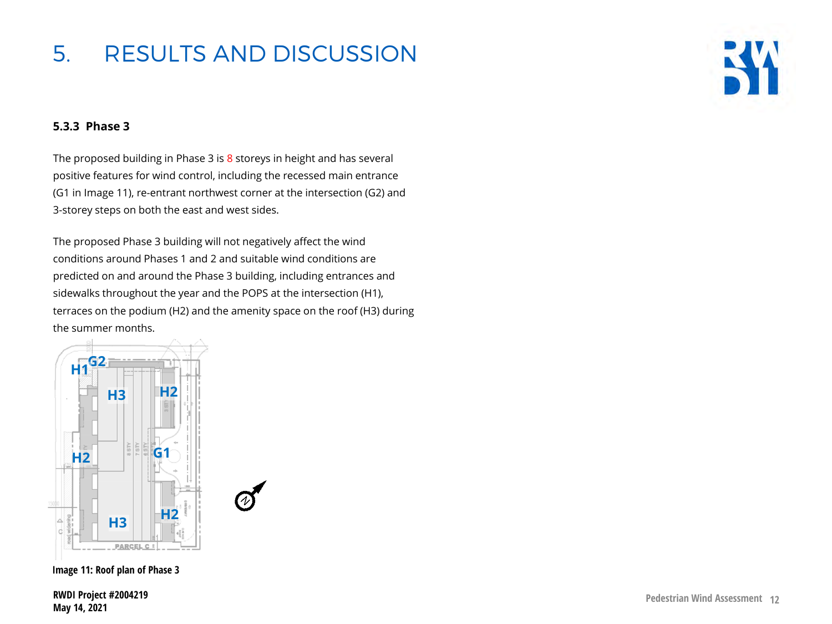

### **5.3.3 Phase 3**

The proposed building in Phase 3 is 8 storeys in height and has several positive features for wind control, including the recessed main entrance (G1 in Image 11), re-entrant northwest corner at the intersection (G2) and 3-storey steps on both the east and west sides.

The proposed Phase 3 building will not negatively affect the wind conditions around Phases 1 and 2 and suitable wind conditions are predicted on and around the Phase 3 building, including entrances and sidewalks throughout the year and the POPS at the intersection (H1), terraces on the podium (H2) and the amenity space on the roof (H3) during the summer months.



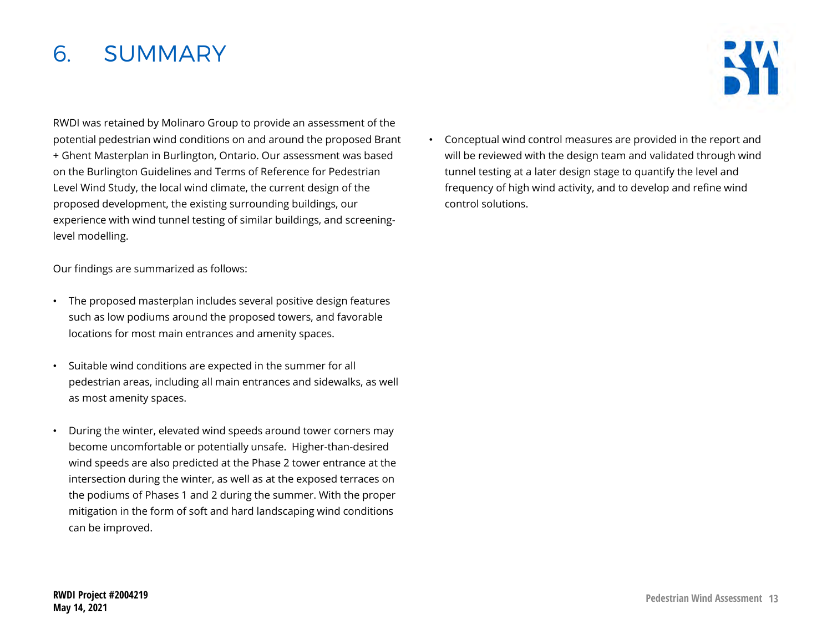### 6. SUMMARY

RWDI was retained by Molinaro Group to provide an assessment of the potential pedestrian wind conditions on and around the proposed Brant + Ghent Masterplan in Burlington, Ontario. Our assessment was based on the Burlington Guidelines and Terms of Reference for Pedestrian Level Wind Study, the local wind climate, the current design of the proposed development, the existing surrounding buildings, our experience with wind tunnel testing of similar buildings, and screeninglevel modelling.

Our findings are summarized as follows:

- The proposed masterplan includes several positive design features such as low podiums around the proposed towers, and favorable locations for most main entrances and amenity spaces.
- Suitable wind conditions are expected in the summer for all pedestrian areas, including all main entrances and sidewalks, as well as most amenity spaces.
- During the winter, elevated wind speeds around tower corners may become uncomfortable or potentially unsafe. Higher-than-desired wind speeds are also predicted at the Phase 2 tower entrance at the intersection during the winter, as well as at the exposed terraces on the podiums of Phases 1 and 2 during the summer. With the proper mitigation in the form of soft and hard landscaping wind conditions can be improved.

• Conceptual wind control measures are provided in the report and will be reviewed with the design team and validated through wind tunnel testing at a later design stage to quantify the level and frequency of high wind activity, and to develop and refine wind control solutions.